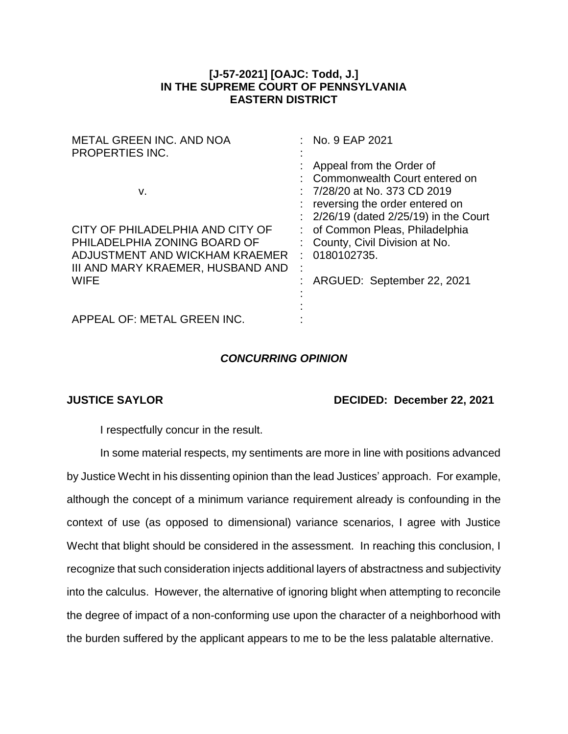## **[J-57-2021] [OAJC: Todd, J.] IN THE SUPREME COURT OF PENNSYLVANIA EASTERN DISTRICT**

| <b>METAL GREEN INC. AND NOA</b><br><b>PROPERTIES INC.</b>                                                | : No. $9$ EAP 2021                                                                                                                                                                                                                                                               |
|----------------------------------------------------------------------------------------------------------|----------------------------------------------------------------------------------------------------------------------------------------------------------------------------------------------------------------------------------------------------------------------------------|
| v.<br>CITY OF PHILADELPHIA AND CITY OF<br>PHILADELPHIA ZONING BOARD OF<br>ADJUSTMENT AND WICKHAM KRAEMER | Appeal from the Order of<br>: Commonwealth Court entered on<br>$: 7/28/20$ at No. 373 CD 2019<br>reversing the order entered on<br>$\frac{1}{2}$ 2/26/19 (dated 2/25/19) in the Court<br>: of Common Pleas, Philadelphia<br>: County, Civil Division at No.<br>0180102735.<br>х. |
| III AND MARY KRAEMER, HUSBAND AND<br><b>WIFE</b>                                                         | ARGUED: September 22, 2021                                                                                                                                                                                                                                                       |
| APPEAL OF: METAL GREEN INC.                                                                              |                                                                                                                                                                                                                                                                                  |

## *CONCURRING OPINION*

## **JUSTICE SAYLOR DECIDED: December 22, 2021**

I respectfully concur in the result.

In some material respects, my sentiments are more in line with positions advanced by Justice Wecht in his dissenting opinion than the lead Justices' approach. For example, although the concept of a minimum variance requirement already is confounding in the context of use (as opposed to dimensional) variance scenarios, I agree with Justice Wecht that blight should be considered in the assessment. In reaching this conclusion, I recognize that such consideration injects additional layers of abstractness and subjectivity into the calculus. However, the alternative of ignoring blight when attempting to reconcile the degree of impact of a non-conforming use upon the character of a neighborhood with the burden suffered by the applicant appears to me to be the less palatable alternative.